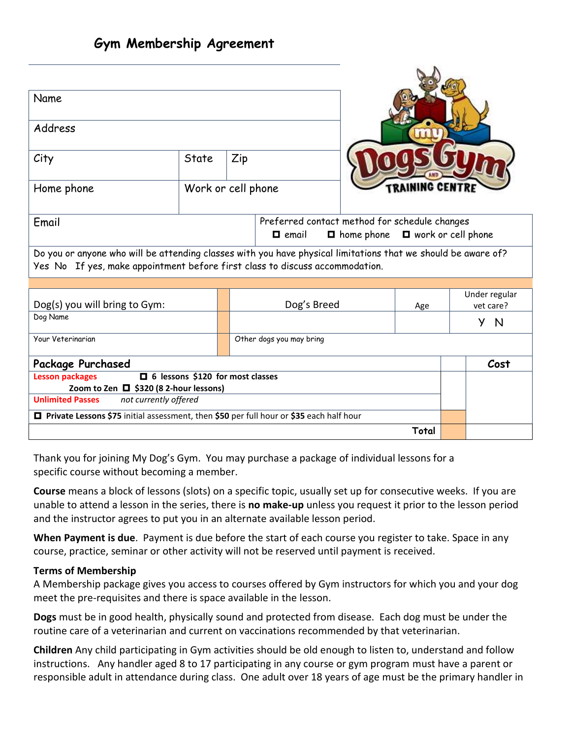| Name<br>Address                                                                                                                                                                               |       |                    |                          |  |                      |                            |      |  |
|-----------------------------------------------------------------------------------------------------------------------------------------------------------------------------------------------|-------|--------------------|--------------------------|--|----------------------|----------------------------|------|--|
|                                                                                                                                                                                               |       |                    |                          |  | 111                  |                            |      |  |
| City                                                                                                                                                                                          | State | Zip                |                          |  |                      |                            |      |  |
| Home phone                                                                                                                                                                                    |       | Work or cell phone |                          |  | <b>RAINING CENTR</b> |                            |      |  |
| Preferred contact method for schedule changes<br>Email<br>$\blacksquare$ work or cell phone<br>$\blacksquare$ home phone<br>$\blacksquare$ email                                              |       |                    |                          |  |                      |                            |      |  |
| Do you or anyone who will be attending classes with you have physical limitations that we should be aware of?<br>Yes No If yes, make appointment before first class to discuss accommodation. |       |                    |                          |  |                      |                            |      |  |
|                                                                                                                                                                                               |       |                    |                          |  |                      |                            |      |  |
| Dog(s) you will bring to Gym:                                                                                                                                                                 |       |                    | Dog's Breed              |  | Age                  | Under regular<br>vet care? |      |  |
| Dog Name                                                                                                                                                                                      |       |                    |                          |  |                      | Y N                        |      |  |
| Your Veteringrian                                                                                                                                                                             |       |                    | Other dogs you may bring |  |                      |                            |      |  |
| <b>Package Purchased</b>                                                                                                                                                                      |       |                    |                          |  |                      |                            | Cost |  |
| $\Box$ 6 lessons \$120 for most classes<br><b>Lesson packages</b>                                                                                                                             |       |                    |                          |  |                      |                            |      |  |
| Zoom to Zen $\Box$ \$320 (8 2-hour lessons)                                                                                                                                                   |       |                    |                          |  |                      |                            |      |  |
| <b>Unlimited Passes</b><br>not currently offered                                                                                                                                              |       |                    |                          |  |                      |                            |      |  |
| □ Private Lessons \$75 initial assessment, then \$50 per full hour or \$35 each half hour                                                                                                     |       |                    |                          |  |                      |                            |      |  |
|                                                                                                                                                                                               |       |                    |                          |  | Total                |                            |      |  |

Thank you for joining My Dog's Gym. You may purchase a package of individual lessons for a specific course without becoming a member.

**Course** means a block of lessons (slots) on a specific topic, usually set up for consecutive weeks. If you are unable to attend a lesson in the series, there is **no make-up** unless you request it prior to the lesson period and the instructor agrees to put you in an alternate available lesson period.

**When Payment is due**. Payment is due before the start of each course you register to take. Space in any course, practice, seminar or other activity will not be reserved until payment is received.

## **Terms of Membership**

A Membership package gives you access to courses offered by Gym instructors for which you and your dog meet the pre-requisites and there is space available in the lesson.

**Dogs** must be in good health, physically sound and protected from disease. Each dog must be under the routine care of a veterinarian and current on vaccinations recommended by that veterinarian.

**Children** Any child participating in Gym activities should be old enough to listen to, understand and follow instructions. Any handler aged 8 to 17 participating in any course or gym program must have a parent or responsible adult in attendance during class. One adult over 18 years of age must be the primary handler in